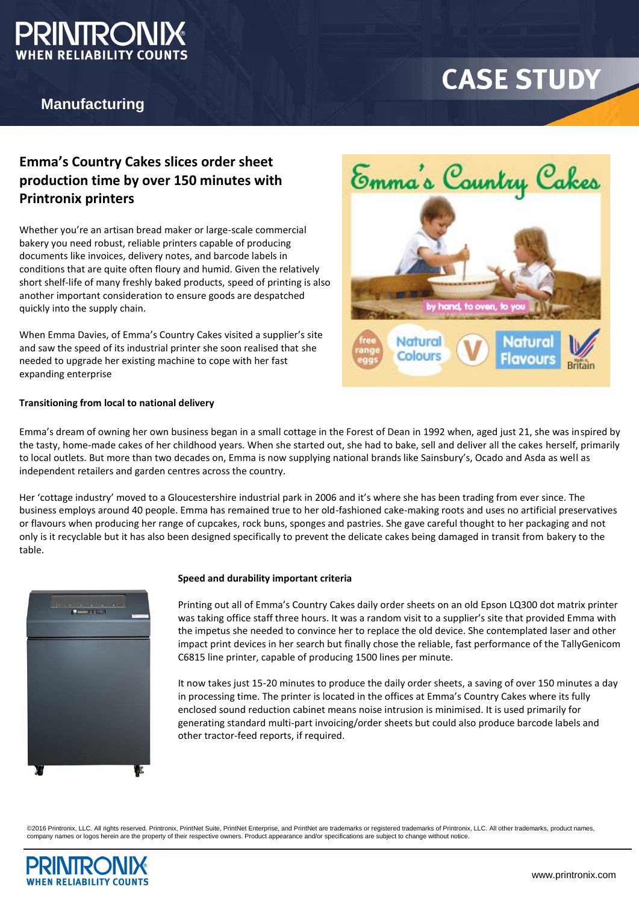

## **Manufacturing**

# **CASE STUDY**

# **Emma's Country Cakes slices order sheet production time by over 150 minutes with Printronix printers**

Whether you're an artisan bread maker or large-scale commercial bakery you need robust, reliable printers capable of producing documents like invoices, delivery notes, and barcode labels in conditions that are quite often floury and humid. Given the relatively short shelf-life of many freshly baked products, speed of printing is also another important consideration to ensure goods are despatched quickly into the supply chain.

When Emma Davies, of Emma's Country Cakes visited a supplier's site and saw the speed of its industrial printer she soon realised that she needed to upgrade her existing machine to cope with her fast expanding enterprise

### **Transitioning from local to national delivery**

Emma's dream of owning her own business began in a small cottage in the Forest of Dean in 1992 when, aged just 21, she was inspired by the tasty, home-made cakes of her childhood years. When she started out, she had to bake, sell and deliver all the cakes herself, primarily to local outlets. But more than two decades on, Emma is now supplying national brands like Sainsbury's, Ocado and Asda as well as independent retailers and garden centres across the country.

Her 'cottage industry' moved to a Gloucestershire industrial park in 2006 and it's where she has been trading from ever since. The business employs around 40 people. Emma has remained true to her old-fashioned cake-making roots and uses no artificial preservatives or flavours when producing her range of cupcakes, rock buns, sponges and pastries. She gave careful thought to her packaging and not only is it recyclable but it has also been designed specifically to prevent the delicate cakes being damaged in transit from bakery to the table.



#### **Speed and durability important criteria**

Printing out all of Emma's Country Cakes daily order sheets on an old Epson LQ300 dot matrix printer was taking office staff three hours. It was a random visit to a supplier's site that provided Emma with the impetus she needed to convince her to replace the old device. She contemplated laser and other impact print devices in her search but finally chose the reliable, fast performance of the TallyGenicom C6815 line printer, capable of producing 1500 lines per minute.

It now takes just 15-20 minutes to produce the daily order sheets, a saving of over 150 minutes a day in processing time. The printer is located in the offices at Emma's Country Cakes where its fully enclosed sound reduction cabinet means noise intrusion is minimised. It is used primarily for generating standard multi-part invoicing/order sheets but could also produce barcode labels and other tractor-feed reports, if required.

©2016 Printronix, LLC. All rights reserved. Printronix, PrintNet Suite, PrintNet Enterprise, and PrintNet are trademarks or registered trademarks of Printronix, LLC. All other trademarks, product names, company names or logos herein are the property of their respective owners. Product appearance and/or specifications are subject to change without notice.